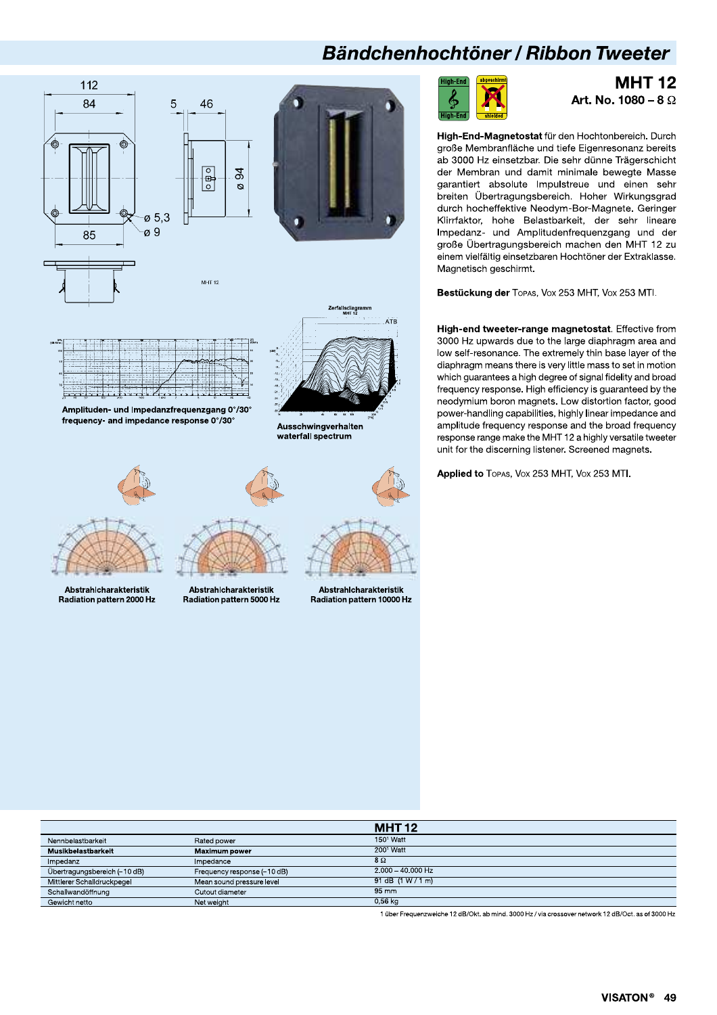### Bändchenhochtöner / Ribbon Tweeter





**MHT 12** Art. No. 1080 - 8  $\Omega$ 

High-End-Magnetostat für den Hochtonbereich. Durch große Membranfläche und tiefe Eigenresonanz bereits ab 3000 Hz einsetzbar. Die sehr dünne Trägerschicht der Membran und damit minimale bewegte Masse garantiert absolute Impulstreue und einen sehr breiten Übertragungsbereich. Hoher Wirkungsgrad durch hocheffektive Neodym-Bor-Magnete. Geringer Klirrfaktor, hohe Belastbarkeit, der sehr lineare Impedanz- und Amplitudenfrequenzgang und der große Übertragungsbereich machen den MHT 12 zu einem vielfältig einsetzbaren Hochtöner der Extraklasse. Magnetisch geschirmt.

Bestückung der TOPAS, VOX 253 MHT, VOX 253 MTI.

High-end tweeter-range magnetostat. Effective from 3000 Hz upwards due to the large diaphragm area and low self-resonance. The extremely thin base layer of the diaphragm means there is very little mass to set in motion which guarantees a high degree of signal fidelity and broad frequency response. High efficiency is guaranteed by the neodymium boron magnets. Low distortion factor, good power-handling capabilities, highly linear impedance and amplitude frequency response and the broad frequency response range make the MHT 12 a highly versatile tweeter unit for the discerning listener. Screened magnets.

Applied to TOPAS, VOX 253 MHT, VOX 253 MTI.

|                              |                             | <b>MHT12</b>                               |
|------------------------------|-----------------------------|--------------------------------------------|
| Nennbelastbarkeit            | Rated power                 | $1501$ Watt                                |
| Musikbelastbarkeit           | <b>Maximum power</b>        | $2001$ Watt                                |
| Impedanz                     | Impedance                   | 8Ω                                         |
| Übertragungsbereich (-10 dB) | Frequency response (-10 dB) |                                            |
| Mittlerer Schalldruckpegel   | Mean sound pressure level   |                                            |
| Schallwandöffnung            | Cutout diameter             | $95 \, \text{mm}$                          |
| Gewicht netto                | Net weight                  | $0.56$ kg                                  |
|                              |                             | $2.000 - 40.000$ Hz<br>91 dB $(1 W / 1 m)$ |

1 über Frequenzweiche 12 dB/Okt. ab mind. 3000 Hz / via crossover network 12 dB/Oct. as of 3000 Hz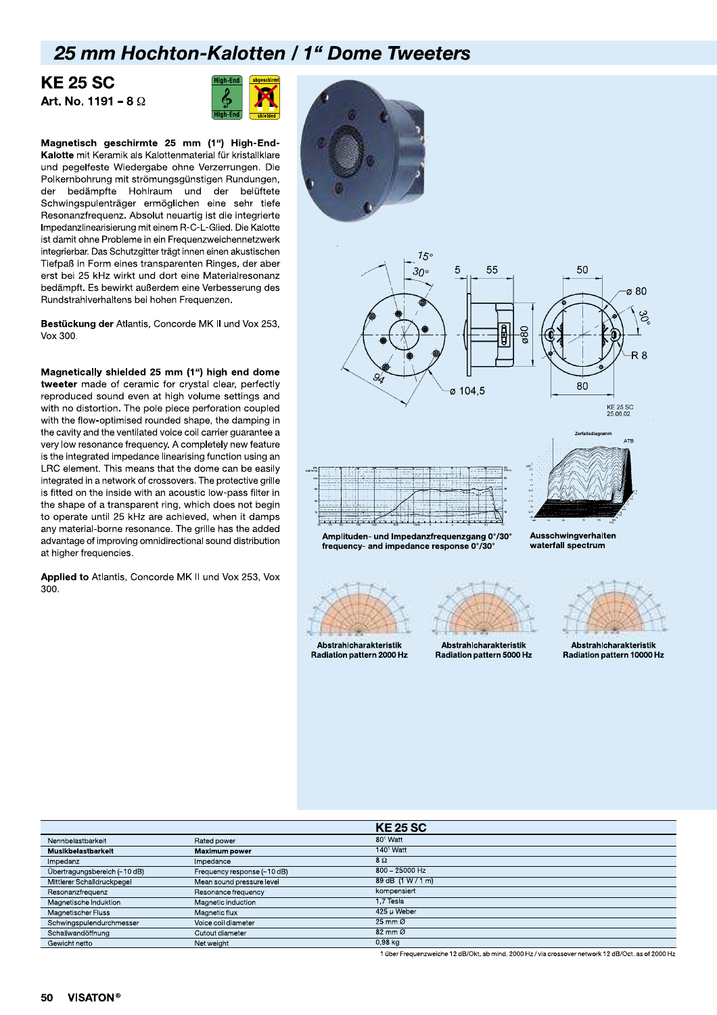# **25 mm Hochton-Kalotten / 1" Dome Tweeters**<br>KE 25 SC<br>Int. No. 1191 – 8  $\Omega$ <br>High-End **X** nm Hochton-<br>'SC<br><sup>1191 – 8 Ω</sup>

#### **KE 25 SC** Art. No. 1191 – 8 $\Omega$



**Art. No. 1191 – 8**  $\Omega$ <br> **Conserved and the SC more transfer and the conservation**<br> **Conserved and particle in the set of the set of the set of the conservation of the conservation of the bedimptic the bedimptic the bedi** Magnetisch geschirmte 25 mm (1") High-End-Kalotte mit Keramik als Kalottenmaterial für kristallklare und pegelfeste Wiedergabe ohne Verzerrungen. Die Polkernbohrung mit strömungsgünstigen Rundungen, der bedämpfte Hohlraum und der belüftete Schwingspulenträger ermöglichen eine sehr tiefe Resonanzfrequenz. Absolut neuartig ist die integrierte Impedanzlinearisierung mit einem R-C-L-Glied. Die Kalotte ist damit ohne Probleme in ein Frequenzweichennetzwerk integrierbar. Das Schutzgitter trägt innen einen akustischen Tiefpaß in Form eines transparenten Ringes, der aber Tiefpaß in Form eines transparenten Ringes, der aber<br>erst bei 25 kHz wirkt und dort eine Materialresonanz<br>bedämpft. Es bewirkt außerdem eine Verbesserung des<br>Rundstrahlverhaltens bei hohen Frequenzen.<br>**Bestückung der** Atla bedämpft. Es bewirkt außerdem eine Verbesserung des Rundstrahlverhaltens bei hohen Frequenzen.

Bestückung der Atlantis, Concorde MK II und Vox 253. Vox 300.

Magnetically shielded 25 mm (1") high end dome tweeter made of ceramic for crystal clear, perfectly reproduced sound even at high volume settings and with no distortion. The pole piece perforation coupled with the flow-optimised rounded shape, the damping in the cavity and the ventilated voice coil carrier guarantee a very low resonance frequency. A completely new feature is the integrated impedance linearising function using an LRC element. This means that the dome can be easily integrated in a network of crossovers. The protective grille is fitted on the inside with an acoustic low-pass filter in the shape of a transparent ring, which does not begin to operate until 25 kHz are achieved, when it damps any material-borne resonance. The grille has the added advantage of improving omnidirectional sound distribution at higher frequencies.

Applied to Atlantis, Concorde MK II und Vox 253, Vox 300.









waterfall spectrum

Amplituden- und Impedanzfreguenzgang 0°/30° frequency- and impedance response 0°/30°



Radiation pattern 2000 <mark>F</mark> Abstrahlcharakteristik



 ! " ! ----Abstrahlcharakteristik

|<br>|teristik<br>| 10000 Hz

& # \$\$---&

|                              |                             | <b>KE 25 SC</b>               |
|------------------------------|-----------------------------|-------------------------------|
| Nennbelastbarkeit            | Rated power                 | 80 <sup>1</sup> Watt          |
| Musikbelastbarkeit           | <b>Maximum power</b>        | 140 <sup>1</sup> Watt         |
| Impedanz                     | Impedance                   | $8\Omega$                     |
| Übertragungsbereich (-10 dB) | Frequency response (-10 dB) | $800 - 25000$ Hz              |
| Mittlerer Schalldruckpegel   | Mean sound pressure level   | 89 dB (1 W / 1 m)             |
| Resonanzfrequenz             | Resonance frequency         | kompensiert                   |
| Magnetische Induktion        | Magnetic induction          | 1.7 Tesla                     |
| Magnetischer Fluss           | Magnetic flux               | 425 µ Weber                   |
| Schwingspulendurchmesser     | Voice coil diameter         | $25 \text{ mm}$ $\varnothing$ |
| Schallwandöffnung            | Cutout diameter             | $82 \text{ mm}$ $\varnothing$ |
| Gewicht netto                | Net weight                  | $0.98$ kg                     |

1 über Frequenzweiche 12 dB/Okt. ab mind. 2000 Hz / via crossover network 12 dB/Oct. as of 2000 Hz